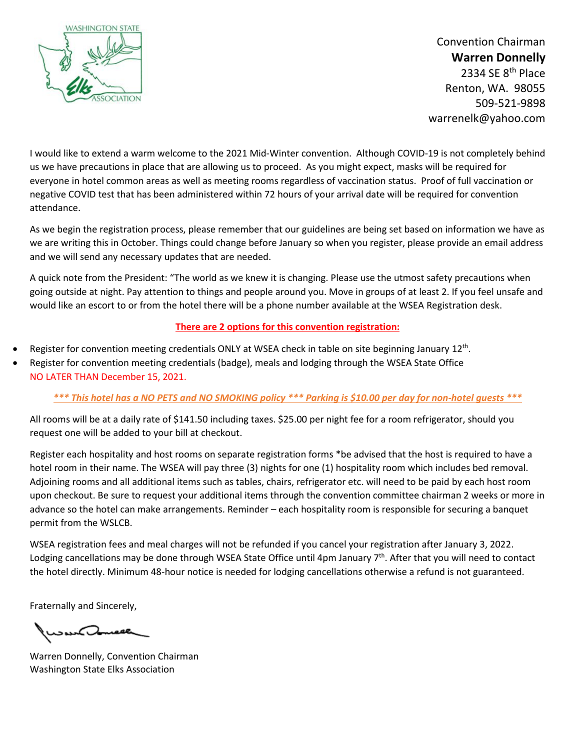

Convention Chairman **Warren Donnelly** 2334 SE 8<sup>th</sup> Place Renton, WA. 98055 509-521-9898 warrenelk@yahoo.com

I would like to extend a warm welcome to the 2021 Mid-Winter convention. Although COVID-19 is not completely behind us we have precautions in place that are allowing us to proceed. As you might expect, masks will be required for everyone in hotel common areas as well as meeting rooms regardless of vaccination status. Proof of full vaccination or negative COVID test that has been administered within 72 hours of your arrival date will be required for convention attendance.

As we begin the registration process, please remember that our guidelines are being set based on information we have as we are writing this in October. Things could change before January so when you register, please provide an email address and we will send any necessary updates that are needed.

A quick note from the President: "The world as we knew it is changing. Please use the utmost safety precautions when going outside at night. Pay attention to things and people around you. Move in groups of at least 2. If you feel unsafe and would like an escort to or from the hotel there will be a phone number available at the WSEA Registration desk.

## **There are 2 options for this convention registration:**

- Register for convention meeting credentials ONLY at WSEA check in table on site beginning January 12<sup>th</sup>.
- Register for convention meeting credentials (badge), meals and lodging through the WSEA State Office NO LATER THAN December 15, 2021.

## *\*\*\* This hotel has a NO PETS and NO SMOKING policy \*\*\* Parking is \$10.00 per day for non-hotel guests \*\*\**

All rooms will be at a daily rate of \$141.50 including taxes. \$25.00 per night fee for a room refrigerator, should you request one will be added to your bill at checkout.

Register each hospitality and host rooms on separate registration forms \*be advised that the host is required to have a hotel room in their name. The WSEA will pay three (3) nights for one (1) hospitality room which includes bed removal. Adjoining rooms and all additional items such as tables, chairs, refrigerator etc. will need to be paid by each host room upon checkout. Be sure to request your additional items through the convention committee chairman 2 weeks or more in advance so the hotel can make arrangements. Reminder – each hospitality room is responsible for securing a banquet permit from the WSLCB.

WSEA registration fees and meal charges will not be refunded if you cancel your registration after January 3, 2022. Lodging cancellations may be done through WSEA State Office until 4pm January  $7<sup>th</sup>$ . After that you will need to contact the hotel directly. Minimum 48-hour notice is needed for lodging cancellations otherwise a refund is not guaranteed.

Fraternally and Sincerely,

wow<del>e Jonneer</del>

Warren Donnelly, Convention Chairman Washington State Elks Association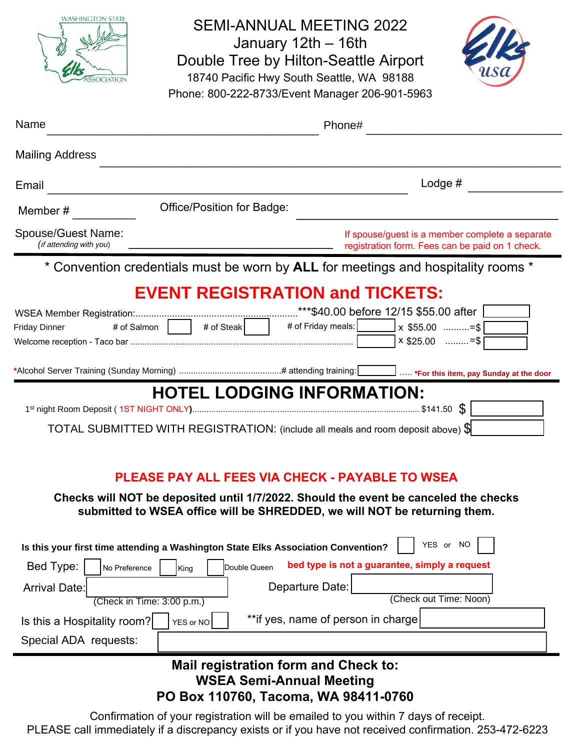| <b>WASHINGTON STATE</b>                                                                                                                                                                                                     | <b>SEMI-ANNUAL MEETING 2022</b><br>January 12th - 16th<br>Double Tree by Hilton-Seattle Airport<br>18740 Pacific Hwy South Seattle, WA 98188<br>Phone: 800-222-8733/Event Manager 206-901-5963 |  |  |  |
|-----------------------------------------------------------------------------------------------------------------------------------------------------------------------------------------------------------------------------|------------------------------------------------------------------------------------------------------------------------------------------------------------------------------------------------|--|--|--|
| Name                                                                                                                                                                                                                        | Phone#                                                                                                                                                                                         |  |  |  |
| <b>Mailing Address</b>                                                                                                                                                                                                      |                                                                                                                                                                                                |  |  |  |
| Email                                                                                                                                                                                                                       | Lodge $#$                                                                                                                                                                                      |  |  |  |
| Member#                                                                                                                                                                                                                     | Office/Position for Badge:                                                                                                                                                                     |  |  |  |
| Spouse/Guest Name:<br>(if attending with you)                                                                                                                                                                               | If spouse/guest is a member complete a separate<br>registration form. Fees can be paid on 1 check.                                                                                             |  |  |  |
| * Convention credentials must be worn by ALL for meetings and hospitality rooms *                                                                                                                                           |                                                                                                                                                                                                |  |  |  |
| # of Salmon<br><b>Friday Dinner</b>                                                                                                                                                                                         | <b>EVENT REGISTRATION and TICKETS:</b><br># of Steak   # of Friday meals:<br>$x$ \$25.00 =\$                                                                                                   |  |  |  |
|                                                                                                                                                                                                                             | *Alcohol Server Training (Sunday Morning) ………………………………………# attending training:<br>I  *For this item, pay Sunday at the door                                                                    |  |  |  |
| <b>HOTEL LODGING INFORMATION:</b>                                                                                                                                                                                           |                                                                                                                                                                                                |  |  |  |
| TOTAL SUBMITTED WITH REGISTRATION: (include all meals and room deposit above) \$                                                                                                                                            |                                                                                                                                                                                                |  |  |  |
| <b>PLEASE PAY ALL FEES VIA CHECK - PAYABLE TO WSEA</b><br>Checks will NOT be deposited until 1/7/2022. Should the event be canceled the checks<br>submitted to WSEA office will be SHREDDED, we will NOT be returning them. |                                                                                                                                                                                                |  |  |  |
| YES or NO<br>Is this your first time attending a Washington State Elks Association Convention?                                                                                                                              |                                                                                                                                                                                                |  |  |  |
| Bed Type:<br>No Preference                                                                                                                                                                                                  | bed type is not a guarantee, simply a request<br>Double Queen<br>King                                                                                                                          |  |  |  |
| <b>Arrival Date:</b>                                                                                                                                                                                                        | Departure Date:<br>(Check out Time: Noon)<br>(Check in Time: 3:00 p.m.)                                                                                                                        |  |  |  |
| Is this a Hospitality room?                                                                                                                                                                                                 | ** if yes, name of person in charge<br>YES or NO                                                                                                                                               |  |  |  |
| Special ADA requests:                                                                                                                                                                                                       |                                                                                                                                                                                                |  |  |  |
| Mail registration form and Check to:<br><b>WSEA Semi-Annual Meeting</b><br>PO Box 110760, Tacoma, WA 98411-0760                                                                                                             |                                                                                                                                                                                                |  |  |  |

Confirmation of your registration will be emailed to you within 7 days of receipt. PLEASE call immediately if a discrepancy exists or if you have not received confirmation. 253-472-6223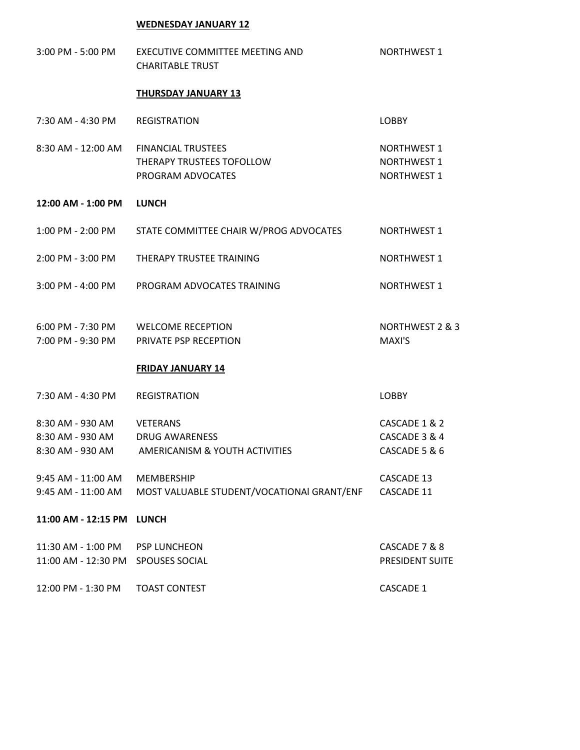## **WEDNESDAY JANUARY 12**

| $3:00$ PM - 5:00 PM                                      | EXECUTIVE COMMITTEE MEETING AND<br><b>CHARITABLE TRUST</b>                               | <b>NORTHWEST 1</b>                                             |
|----------------------------------------------------------|------------------------------------------------------------------------------------------|----------------------------------------------------------------|
|                                                          | <b>THURSDAY JANUARY 13</b>                                                               |                                                                |
| 7:30 AM - 4:30 PM                                        | <b>REGISTRATION</b>                                                                      | <b>LOBBY</b>                                                   |
| 8:30 AM - 12:00 AM                                       | <b>FINANCIAL TRUSTEES</b><br>THERAPY TRUSTEES TOFOLLOW<br>PROGRAM ADVOCATES              | <b>NORTHWEST 1</b><br><b>NORTHWEST 1</b><br><b>NORTHWEST 1</b> |
| 12:00 AM - 1:00 PM                                       | <b>LUNCH</b>                                                                             |                                                                |
| 1:00 PM - 2:00 PM                                        | STATE COMMITTEE CHAIR W/PROG ADVOCATES                                                   | <b>NORTHWEST 1</b>                                             |
| 2:00 PM - 3:00 PM                                        | THERAPY TRUSTEE TRAINING                                                                 | <b>NORTHWEST 1</b>                                             |
| 3:00 PM - 4:00 PM                                        | PROGRAM ADVOCATES TRAINING                                                               | <b>NORTHWEST 1</b>                                             |
| 7:00 PM - 9:30 PM                                        | 6:00 PM - 7:30 PM WELCOME RECEPTION<br>PRIVATE PSP RECEPTION<br><b>FRIDAY JANUARY 14</b> | NORTHWEST 2 & 3<br>MAXI'S                                      |
| 7:30 AM - 4:30 PM                                        | <b>REGISTRATION</b>                                                                      | <b>LOBBY</b>                                                   |
| 8:30 AM - 930 AM<br>8:30 AM - 930 AM<br>8:30 AM - 930 AM | <b>VETERANS</b><br><b>DRUG AWARENESS</b><br>AMERICANISM & YOUTH ACTIVITIES               | CASCADE 1 & 2<br>CASCADE 3 & 4<br>CASCADE 5 & 6                |
| 9:45 AM - 11:00 AM<br>9:45 AM - 11:00 AM                 | <b>MEMBERSHIP</b><br>MOST VALUABLE STUDENT/VOCATIONAl GRANT/ENF                          | <b>CASCADE 13</b><br><b>CASCADE 11</b>                         |
| 11:00 AM - 12:15 PM                                      | <b>LUNCH</b>                                                                             |                                                                |
| 11:30 AM - 1:00 PM<br>11:00 AM - 12:30 PM                | <b>PSP LUNCHEON</b><br>SPOUSES SOCIAL                                                    | CASCADE 7 & 8<br>PRESIDENT SUITE                               |

12:00 PM - 1:30 PM TOAST CONTEST CASCADE 1